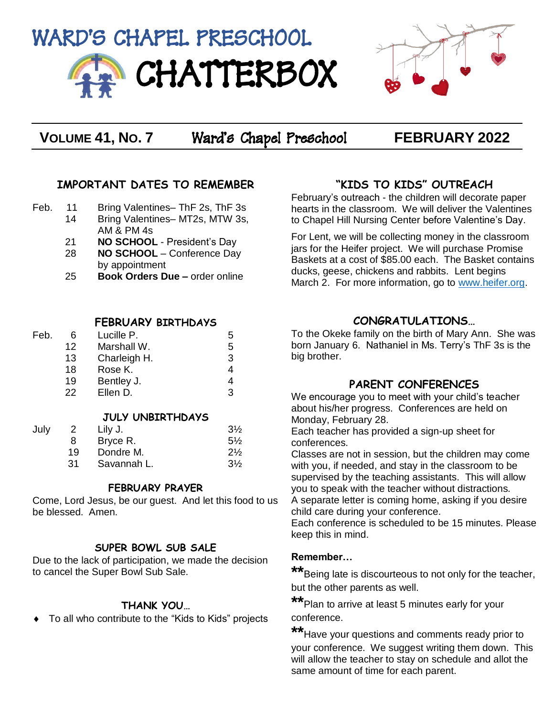



**VOLUME 41, NO. 7** Ward's Chapel Preschool **FEBRUARY 2022**

### **IMPORTANT DATES TO REMEMBER**

- Feb. 11 Bring Valentines– ThF 2s, ThF 3s
	- 14 Bring Valentines– MT2s, MTW 3s, AM & PM 4s
		- 21 **NO SCHOOL**  President's Day
		- 28 **NO SCHOOL**  Conference Day by appointment
		- 25 **Book Orders Due –** order online

#### **FEBRUARY BIRTHDAYS**

| Feb. | 6  | Lucille P.   | :5 |
|------|----|--------------|----|
|      | 12 | Marshall W.  | 5  |
|      | 13 | Charleigh H. | З  |
|      | 18 | Rose K.      |    |
|      | 19 | Bentley J.   |    |
|      | 22 | Ellen D.     | ર  |

#### **JULY UNBIRTHDAYS**

|     | Lilv J.     | $3\frac{1}{2}$ |
|-----|-------------|----------------|
| 8   | Bryce R.    | $5\%$          |
| 19  | Dondre M.   | $2\frac{1}{2}$ |
| .31 | Savannah L. | $3\frac{1}{2}$ |
|     |             |                |

#### **FEBRUARY PRAYER**

Come, Lord Jesus, be our guest. And let this food to us be blessed. Amen.

#### **SUPER BOWL SUB SALE**

Due to the lack of participation, we made the decision to cancel the Super Bowl Sub Sale.

#### **THANK YOU…**

To all who contribute to the "Kids to Kids" projects

## **"KIDS TO KIDS" OUTREACH**

February's outreach - the children will decorate paper hearts in the classroom. We will deliver the Valentines to Chapel Hill Nursing Center before Valentine's Day.

For Lent, we will be collecting money in the classroom jars for the Heifer project. We will purchase Promise Baskets at a cost of \$85.00 each. The Basket contains ducks, geese, chickens and rabbits. Lent begins March 2. For more information, go to [www.heifer.org.](http://www.heifer.org/)

## **CONGRATULATIONS…**

To the Okeke family on the birth of Mary Ann. She was born January 6. Nathaniel in Ms. Terry's ThF 3s is the big brother.

## **PARENT CONFERENCES**

We encourage you to meet with your child's teacher about his/her progress. Conferences are held on Monday, February 28.

Each teacher has provided a sign-up sheet for conferences.

Classes are not in session, but the children may come with you, if needed, and stay in the classroom to be supervised by the teaching assistants. This will allow you to speak with the teacher without distractions.

A separate letter is coming home, asking if you desire child care during your conference.

Each conference is scheduled to be 15 minutes. Please keep this in mind.

#### **Remember…**

**\*\***Being late is discourteous to not only for the teacher, but the other parents as well.

**\*\***Plan to arrive at least 5 minutes early for your conference.

**\*\***Have your questions and comments ready prior to your conference. We suggest writing them down. This will allow the teacher to stay on schedule and allot the same amount of time for each parent.